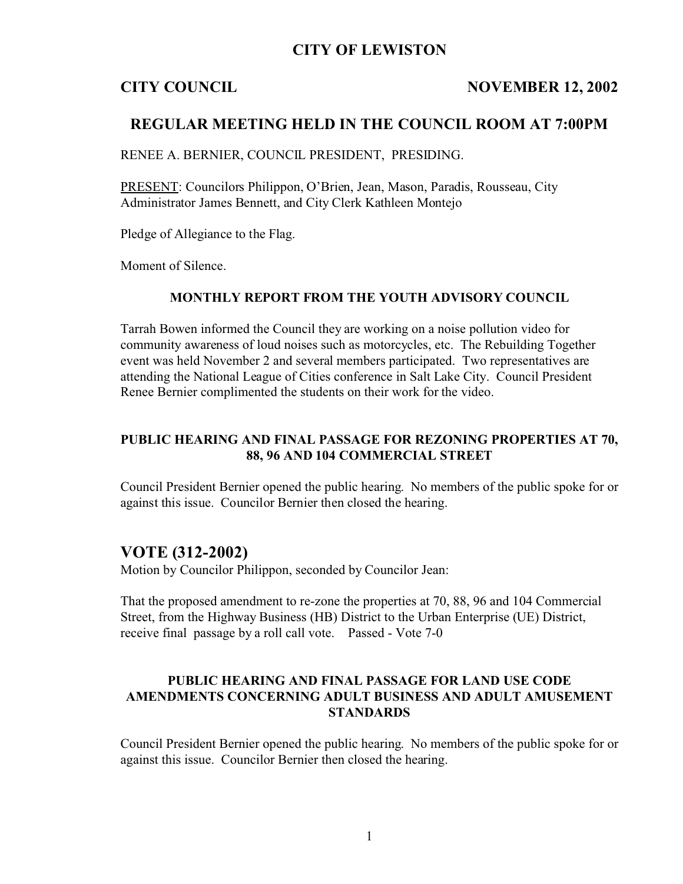## **CITY OF LEWISTON**

### **CITY COUNCIL NOVEMBER 12, 2002**

## **REGULAR MEETING HELD IN THE COUNCIL ROOM AT 7:00PM**

RENEE A. BERNIER, COUNCIL PRESIDENT, PRESIDING.

PRESENT: Councilors Philippon, O'Brien, Jean, Mason, Paradis, Rousseau, City Administrator James Bennett, and City Clerk Kathleen Montejo

Pledge of Allegiance to the Flag.

Moment of Silence.

### **MONTHLY REPORT FROM THE YOUTH ADVISORY COUNCIL**

Tarrah Bowen informed the Council they are working on a noise pollution video for community awareness of loud noises such as motorcycles, etc. The Rebuilding Together event was held November 2 and several members participated. Two representatives are attending the National League of Cities conference in Salt Lake City. Council President Renee Bernier complimented the students on their work for the video.

### **PUBLIC HEARING AND FINAL PASSAGE FOR REZONING PROPERTIES AT 70, 88, 96 AND 104 COMMERCIAL STREET**

Council President Bernier opened the public hearing. No members of the public spoke for or against this issue. Councilor Bernier then closed the hearing.

## **VOTE (312-2002)**

Motion by Councilor Philippon, seconded by Councilor Jean:

That the proposed amendment to re-zone the properties at 70, 88, 96 and 104 Commercial Street, from the Highway Business (HB) District to the Urban Enterprise (UE) District, receive final passage by a roll call vote. Passed - Vote 7-0

## **PUBLIC HEARING AND FINAL PASSAGE FOR LAND USE CODE AMENDMENTS CONCERNING ADULT BUSINESS AND ADULT AMUSEMENT STANDARDS**

Council President Bernier opened the public hearing. No members of the public spoke for or against this issue. Councilor Bernier then closed the hearing.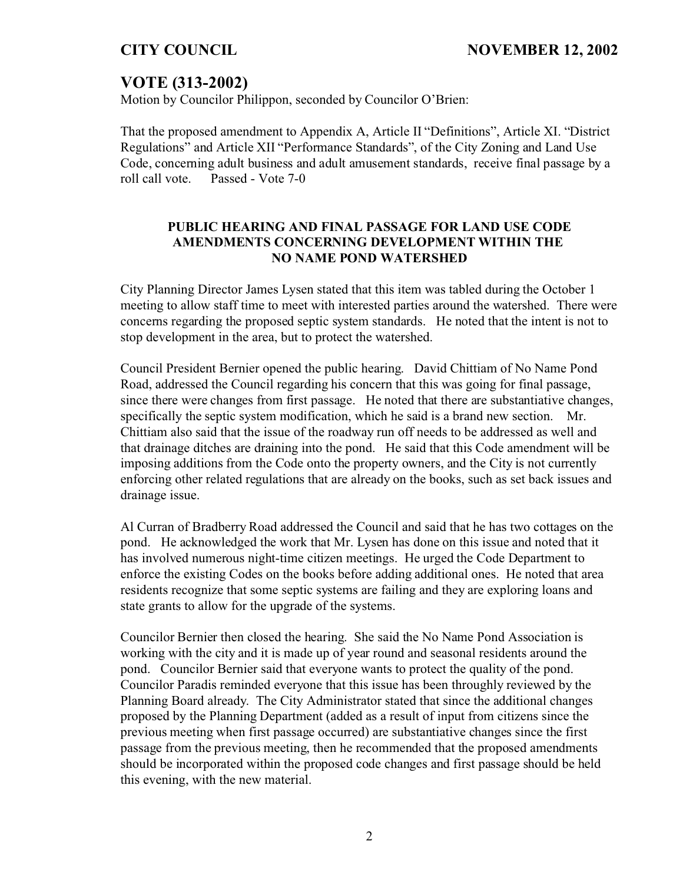# **VOTE (313-2002)**

Motion by Councilor Philippon, seconded by Councilor O'Brien:

That the proposed amendment to Appendix A, Article II "Definitions", Article XI. "District Regulations" and Article XII "Performance Standards", of the City Zoning and Land Use Code, concerning adult business and adult amusement standards, receive final passage by a roll call vote. Passed - Vote 7-0

## **PUBLIC HEARING AND FINAL PASSAGE FOR LAND USE CODE AMENDMENTS CONCERNING DEVELOPMENT WITHIN THE NO NAME POND WATERSHED**

City Planning Director James Lysen stated that this item was tabled during the October 1 meeting to allow staff time to meet with interested parties around the watershed. There were concerns regarding the proposed septic system standards. He noted that the intent is not to stop development in the area, but to protect the watershed.

Council President Bernier opened the public hearing. David Chittiam of No Name Pond Road, addressed the Council regarding his concern that this was going for final passage, since there were changes from first passage. He noted that there are substantiative changes, specifically the septic system modification, which he said is a brand new section. Mr. Chittiam also said that the issue of the roadway run off needs to be addressed as well and that drainage ditches are draining into the pond. He said that this Code amendment will be imposing additions from the Code onto the property owners, and the City is not currently enforcing other related regulations that are already on the books, such as set back issues and drainage issue.

Al Curran of Bradberry Road addressed the Council and said that he has two cottages on the pond. He acknowledged the work that Mr. Lysen has done on this issue and noted that it has involved numerous night-time citizen meetings. He urged the Code Department to enforce the existing Codes on the books before adding additional ones. He noted that area residents recognize that some septic systems are failing and they are exploring loans and state grants to allow for the upgrade of the systems.

Councilor Bernier then closed the hearing. She said the No Name Pond Association is working with the city and it is made up of year round and seasonal residents around the pond. Councilor Bernier said that everyone wants to protect the quality of the pond. Councilor Paradis reminded everyone that this issue has been throughly reviewed by the Planning Board already. The City Administrator stated that since the additional changes proposed by the Planning Department (added as a result of input from citizens since the previous meeting when first passage occurred) are substantiative changes since the first passage from the previous meeting, then he recommended that the proposed amendments should be incorporated within the proposed code changes and first passage should be held this evening, with the new material.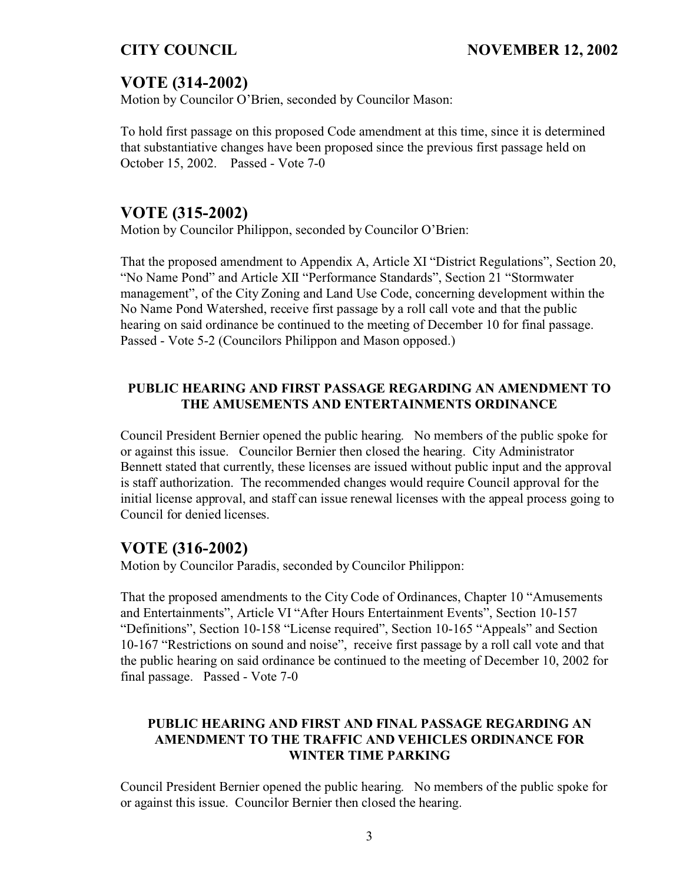# **VOTE (314-2002)**

Motion by Councilor O'Brien, seconded by Councilor Mason:

To hold first passage on this proposed Code amendment at this time, since it is determined that substantiative changes have been proposed since the previous first passage held on October 15, 2002. Passed - Vote 7-0

## **VOTE (315-2002)**

Motion by Councilor Philippon, seconded by Councilor O'Brien:

That the proposed amendment to Appendix A, Article XI "District Regulations", Section 20, "No Name Pond" and Article XII "Performance Standards", Section 21 "Stormwater management", of the City Zoning and Land Use Code, concerning development within the No Name Pond Watershed, receive first passage by a roll call vote and that the public hearing on said ordinance be continued to the meeting of December 10 for final passage. Passed - Vote 5-2 (Councilors Philippon and Mason opposed.)

## **PUBLIC HEARING AND FIRST PASSAGE REGARDING AN AMENDMENT TO THE AMUSEMENTS AND ENTERTAINMENTS ORDINANCE**

Council President Bernier opened the public hearing. No members of the public spoke for or against this issue. Councilor Bernier then closed the hearing. City Administrator Bennett stated that currently, these licenses are issued without public input and the approval is staff authorization. The recommended changes would require Council approval for the initial license approval, and staff can issue renewal licenses with the appeal process going to Council for denied licenses.

## **VOTE (316-2002)**

Motion by Councilor Paradis, seconded by Councilor Philippon:

That the proposed amendments to the City Code of Ordinances, Chapter 10 "Amusements and Entertainments", Article VI "After Hours Entertainment Events", Section 10-157 "Definitions", Section 10-158 "License required", Section 10-165 "Appeals" and Section 10-167 "Restrictions on sound and noise", receive first passage by a roll call vote and that the public hearing on said ordinance be continued to the meeting of December 10, 2002 for final passage. Passed - Vote 7-0

## **PUBLIC HEARING AND FIRST AND FINAL PASSAGE REGARDING AN AMENDMENT TO THE TRAFFIC AND VEHICLES ORDINANCE FOR WINTER TIME PARKING**

Council President Bernier opened the public hearing. No members of the public spoke for or against this issue. Councilor Bernier then closed the hearing.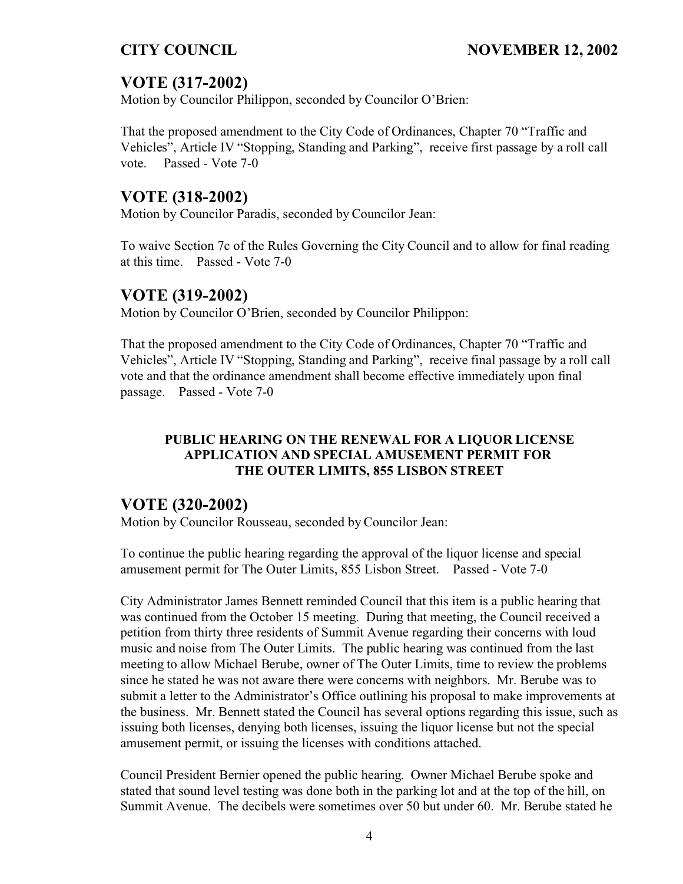# **VOTE (317-2002)**

Motion by Councilor Philippon, seconded by Councilor O'Brien:

That the proposed amendment to the City Code of Ordinances, Chapter 70 "Traffic and Vehicles", Article IV "Stopping, Standing and Parking", receive first passage by a roll call vote. Passed - Vote 7-0

# **VOTE (318-2002)**

Motion by Councilor Paradis, seconded by Councilor Jean:

To waive Section 7c of the Rules Governing the City Council and to allow for final reading at this time. Passed - Vote 7-0

# **VOTE (319-2002)**

Motion by Councilor O'Brien, seconded by Councilor Philippon:

That the proposed amendment to the City Code of Ordinances, Chapter 70 "Traffic and Vehicles", Article IV "Stopping, Standing and Parking", receive final passage by a roll call vote and that the ordinance amendment shall become effective immediately upon final passage. Passed - Vote 7-0

## **PUBLIC HEARING ON THE RENEWAL FOR A LIQUOR LICENSE APPLICATION AND SPECIAL AMUSEMENT PERMIT FOR THE OUTER LIMITS, 855 LISBON STREET**

# **VOTE (320-2002)**

Motion by Councilor Rousseau, seconded by Councilor Jean:

To continue the public hearing regarding the approval of the liquor license and special amusement permit for The Outer Limits, 855 Lisbon Street. Passed - Vote 7-0

City Administrator James Bennett reminded Council that this item is a public hearing that was continued from the October 15 meeting. During that meeting, the Council received a petition from thirty three residents of Summit Avenue regarding their concerns with loud music and noise from The Outer Limits. The public hearing was continued from the last meeting to allow Michael Berube, owner of The Outer Limits, time to review the problems since he stated he was not aware there were concerns with neighbors. Mr. Berube was to submit a letter to the Administrator's Office outlining his proposal to make improvements at the business. Mr. Bennett stated the Council has several options regarding this issue, such as issuing both licenses, denying both licenses, issuing the liquor license but not the special amusement permit, or issuing the licenses with conditions attached.

Council President Bernier opened the public hearing. Owner Michael Berube spoke and stated that sound level testing was done both in the parking lot and at the top of the hill, on Summit Avenue. The decibels were sometimes over 50 but under 60. Mr. Berube stated he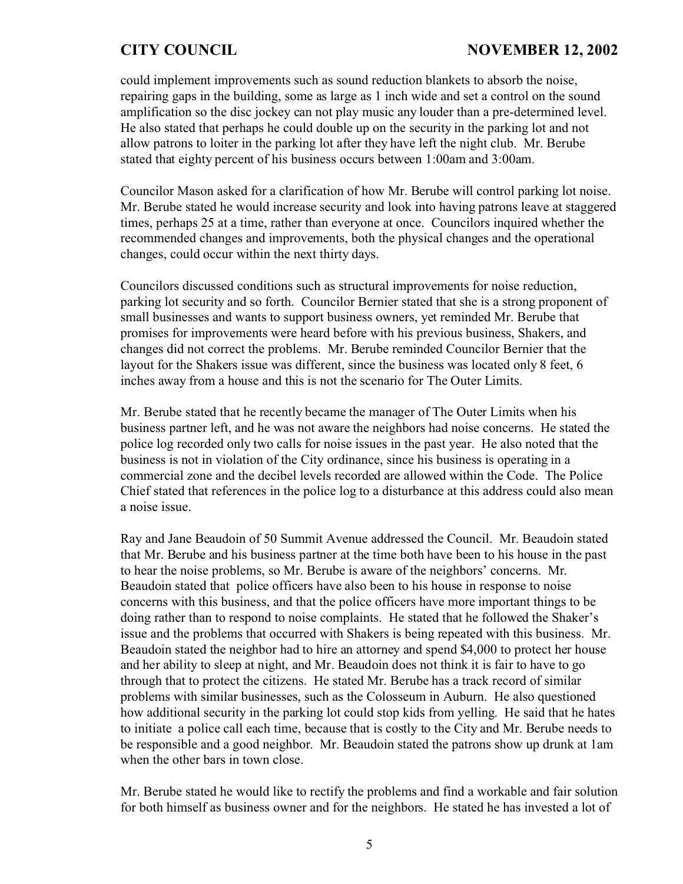could implement improvements such as sound reduction blankets to absorb the noise, repairing gaps in the building, some as large as 1 inch wide and set a control on the sound amplification so the disc jockey can not play music any louder than a pre-determined level. He also stated that perhaps he could double up on the security in the parking lot and not allow patrons to loiter in the parking lot after they have left the night club. Mr. Berube stated that eighty percent of his business occurs between 1:00am and 3:00am.

Councilor Mason asked for a clarification of how Mr. Berube will control parking lot noise. Mr. Berube stated he would increase security and look into having patrons leave at staggered times, perhaps 25 at a time, rather than everyone at once. Councilors inquired whether the recommended changes and improvements, both the physical changes and the operational changes, could occur within the next thirty days.

Councilors discussed conditions such as structural improvements for noise reduction, parking lot security and so forth. Councilor Bernier stated that she is a strong proponent of small businesses and wants to support business owners, yet reminded Mr. Berube that promises for improvements were heard before with his previous business, Shakers, and changes did not correct the problems. Mr. Berube reminded Councilor Bernier that the layout for the Shakers issue was different, since the business was located only 8 feet, 6 inches away from a house and this is not the scenario for The Outer Limits.

Mr. Berube stated that he recently became the manager of The Outer Limits when his business partner left, and he was not aware the neighbors had noise concerns. He stated the police log recorded only two calls for noise issues in the past year. He also noted that the business is not in violation of the City ordinance, since his business is operating in a commercial zone and the decibel levels recorded are allowed within the Code. The Police Chief stated that references in the police log to a disturbance at this address could also mean a noise issue.

Ray and Jane Beaudoin of 50 Summit Avenue addressed the Council. Mr. Beaudoin stated that Mr. Berube and his business partner at the time both have been to his house in the past to hear the noise problems, so Mr. Berube is aware of the neighbors' concerns. Mr. Beaudoin stated that police officers have also been to his house in response to noise concerns with this business, and that the police officers have more important things to be doing rather than to respond to noise complaints. He stated that he followed the Shaker's issue and the problems that occurred with Shakers is being repeated with this business. Mr. Beaudoin stated the neighbor had to hire an attorney and spend \$4,000 to protect her house and her ability to sleep at night, and Mr. Beaudoin does not think it is fair to have to go through that to protect the citizens. He stated Mr. Berube has a track record of similar problems with similar businesses, such as the Colosseum in Auburn. He also questioned how additional security in the parking lot could stop kids from yelling. He said that he hates to initiate a police call each time, because that is costly to the City and Mr. Berube needs to be responsible and a good neighbor. Mr. Beaudoin stated the patrons show up drunk at 1am when the other bars in town close.

Mr. Berube stated he would like to rectify the problems and find a workable and fair solution for both himself as business owner and for the neighbors. He stated he has invested a lot of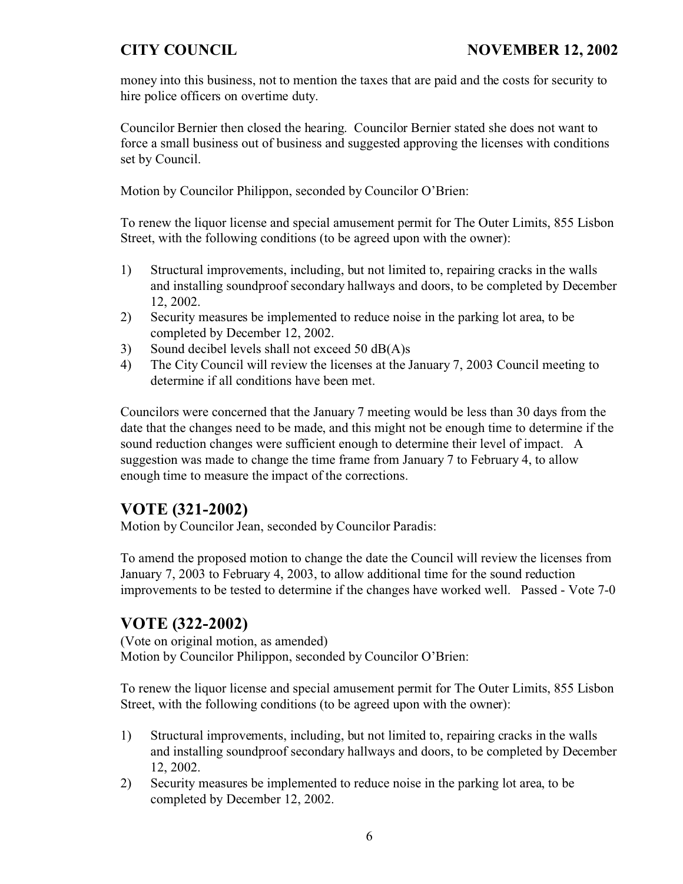money into this business, not to mention the taxes that are paid and the costs for security to hire police officers on overtime duty.

Councilor Bernier then closed the hearing. Councilor Bernier stated she does not want to force a small business out of business and suggested approving the licenses with conditions set by Council.

Motion by Councilor Philippon, seconded by Councilor O'Brien:

To renew the liquor license and special amusement permit for The Outer Limits, 855 Lisbon Street, with the following conditions (to be agreed upon with the owner):

- 1) Structural improvements, including, but not limited to, repairing cracks in the walls and installing soundproof secondary hallways and doors, to be completed by December 12, 2002.
- 2) Security measures be implemented to reduce noise in the parking lot area, to be completed by December 12, 2002.
- 3) Sound decibel levels shall not exceed 50 dB(A)s
- 4) The City Council will review the licenses at the January 7, 2003 Council meeting to determine if all conditions have been met.

Councilors were concerned that the January 7 meeting would be less than 30 days from the date that the changes need to be made, and this might not be enough time to determine if the sound reduction changes were sufficient enough to determine their level of impact. A suggestion was made to change the time frame from January 7 to February 4, to allow enough time to measure the impact of the corrections.

# **VOTE (321-2002)**

Motion by Councilor Jean, seconded by Councilor Paradis:

To amend the proposed motion to change the date the Council will review the licenses from January 7, 2003 to February 4, 2003, to allow additional time for the sound reduction improvements to be tested to determine if the changes have worked well. Passed - Vote 7-0

# **VOTE (322-2002)**

(Vote on original motion, as amended) Motion by Councilor Philippon, seconded by Councilor O'Brien:

To renew the liquor license and special amusement permit for The Outer Limits, 855 Lisbon Street, with the following conditions (to be agreed upon with the owner):

- 1) Structural improvements, including, but not limited to, repairing cracks in the walls and installing soundproof secondary hallways and doors, to be completed by December 12, 2002.
- 2) Security measures be implemented to reduce noise in the parking lot area, to be completed by December 12, 2002.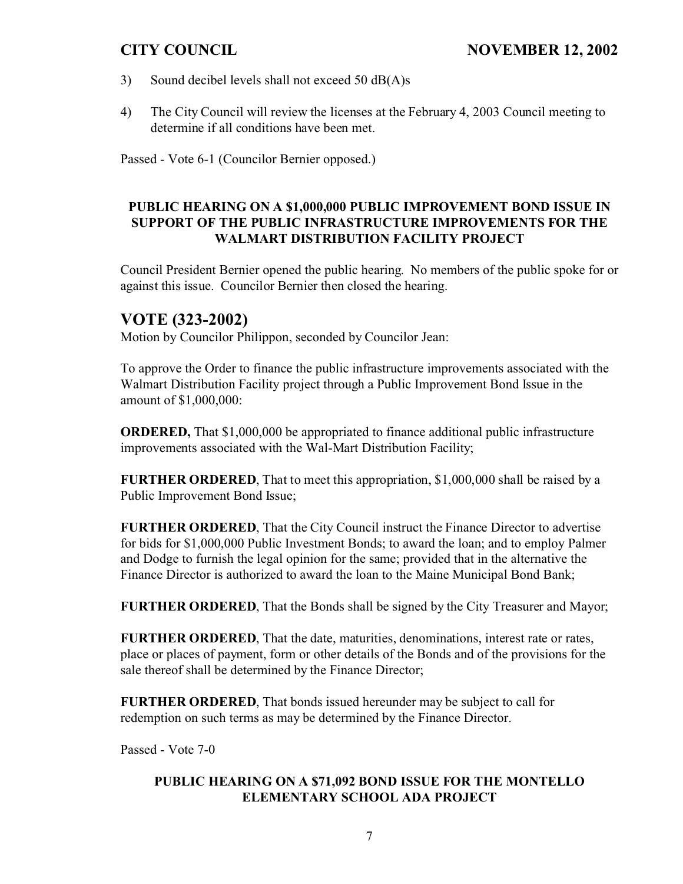- 3) Sound decibel levels shall not exceed 50 dB(A)s
- 4) The City Council will review the licenses at the February 4, 2003 Council meeting to determine if all conditions have been met.

Passed - Vote 6-1 (Councilor Bernier opposed.)

## **PUBLIC HEARING ON A \$1,000,000 PUBLIC IMPROVEMENT BOND ISSUE IN SUPPORT OF THE PUBLIC INFRASTRUCTURE IMPROVEMENTS FOR THE WALMART DISTRIBUTION FACILITY PROJECT**

Council President Bernier opened the public hearing. No members of the public spoke for or against this issue. Councilor Bernier then closed the hearing.

## **VOTE (323-2002)**

Motion by Councilor Philippon, seconded by Councilor Jean:

To approve the Order to finance the public infrastructure improvements associated with the Walmart Distribution Facility project through a Public Improvement Bond Issue in the amount of \$1,000,000:

**ORDERED,** That \$1,000,000 be appropriated to finance additional public infrastructure improvements associated with the Wal-Mart Distribution Facility;

**FURTHER ORDERED**, That to meet this appropriation, \$1,000,000 shall be raised by a Public Improvement Bond Issue;

**FURTHER ORDERED**, That the City Council instruct the Finance Director to advertise for bids for \$1,000,000 Public Investment Bonds; to award the loan; and to employ Palmer and Dodge to furnish the legal opinion for the same; provided that in the alternative the Finance Director is authorized to award the loan to the Maine Municipal Bond Bank;

**FURTHER ORDERED,** That the Bonds shall be signed by the City Treasurer and Mayor;

**FURTHER ORDERED**, That the date, maturities, denominations, interest rate or rates, place or places of payment, form or other details of the Bonds and of the provisions for the sale thereof shall be determined by the Finance Director;

**FURTHER ORDERED**, That bonds issued hereunder may be subject to call for redemption on such terms as may be determined by the Finance Director.

Passed - Vote 7-0

## **PUBLIC HEARING ON A \$71,092 BOND ISSUE FOR THE MONTELLO ELEMENTARY SCHOOL ADA PROJECT**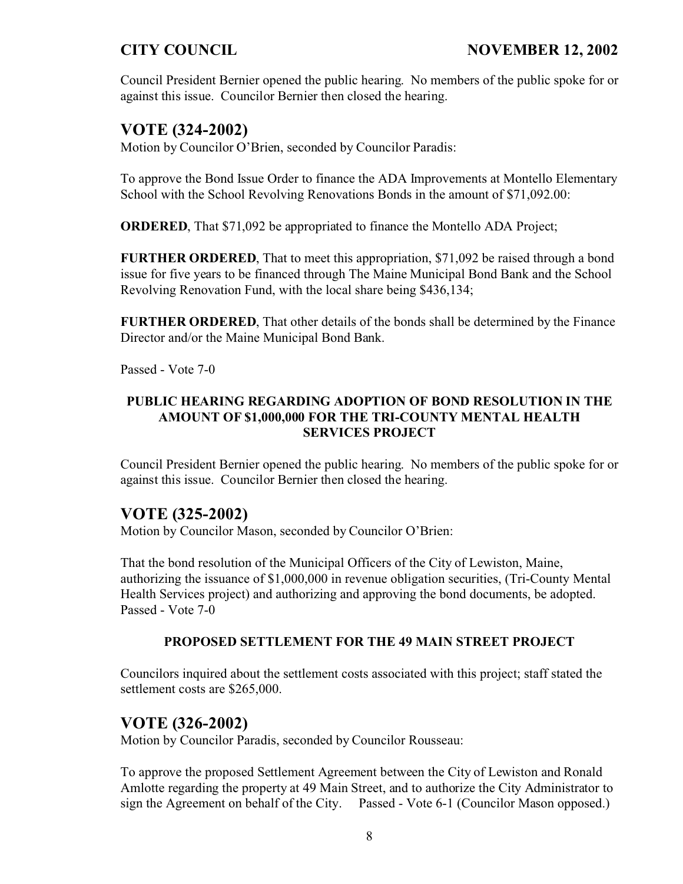Council President Bernier opened the public hearing. No members of the public spoke for or against this issue. Councilor Bernier then closed the hearing.

# **VOTE (324-2002)**

Motion by Councilor O'Brien, seconded by Councilor Paradis:

To approve the Bond Issue Order to finance the ADA Improvements at Montello Elementary School with the School Revolving Renovations Bonds in the amount of \$71,092.00:

**ORDERED**, That \$71,092 be appropriated to finance the Montello ADA Project;

**FURTHER ORDERED**, That to meet this appropriation, \$71,092 be raised through a bond issue for five years to be financed through The Maine Municipal Bond Bank and the School Revolving Renovation Fund, with the local share being \$436,134;

**FURTHER ORDERED**, That other details of the bonds shall be determined by the Finance Director and/or the Maine Municipal Bond Bank.

Passed - Vote 7-0

## **PUBLIC HEARING REGARDING ADOPTION OF BOND RESOLUTION IN THE AMOUNT OF \$1,000,000 FOR THE TRI-COUNTY MENTAL HEALTH SERVICES PROJECT**

Council President Bernier opened the public hearing. No members of the public spoke for or against this issue. Councilor Bernier then closed the hearing.

# **VOTE (325-2002)**

Motion by Councilor Mason, seconded by Councilor O'Brien:

That the bond resolution of the Municipal Officers of the City of Lewiston, Maine, authorizing the issuance of \$1,000,000 in revenue obligation securities, (Tri-County Mental Health Services project) and authorizing and approving the bond documents, be adopted. Passed - Vote 7-0

## **PROPOSED SETTLEMENT FOR THE 49 MAIN STREET PROJECT**

Councilors inquired about the settlement costs associated with this project; staff stated the settlement costs are \$265,000.

# **VOTE (326-2002)**

Motion by Councilor Paradis, seconded by Councilor Rousseau:

To approve the proposed Settlement Agreement between the City of Lewiston and Ronald Amlotte regarding the property at 49 Main Street, and to authorize the City Administrator to sign the Agreement on behalf of the City. Passed - Vote 6-1 (Councilor Mason opposed.)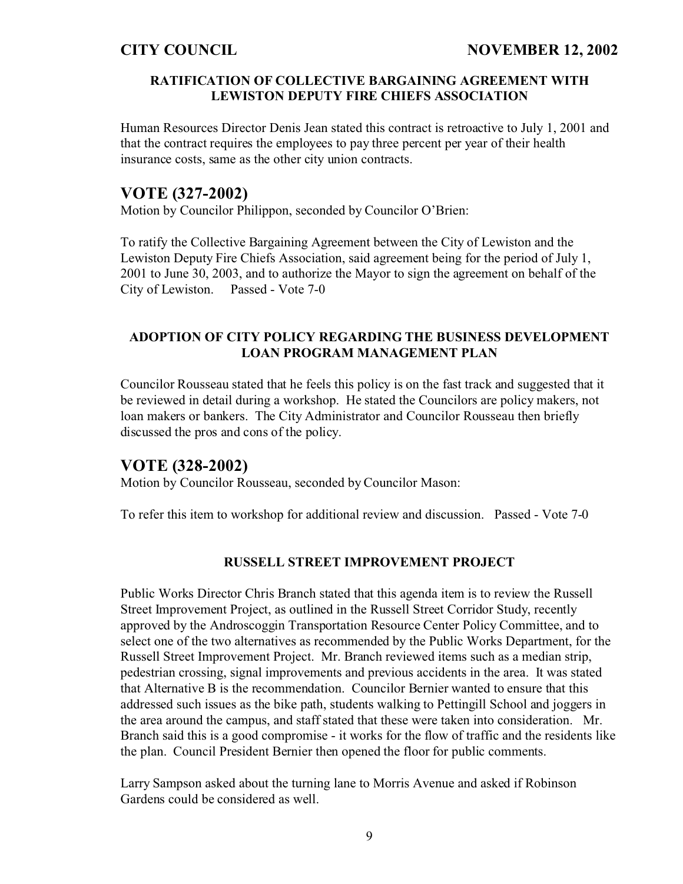## **RATIFICATION OF COLLECTIVE BARGAINING AGREEMENT WITH LEWISTON DEPUTY FIRE CHIEFS ASSOCIATION**

Human Resources Director Denis Jean stated this contract is retroactive to July 1, 2001 and that the contract requires the employees to pay three percent per year of their health insurance costs, same as the other city union contracts.

# **VOTE (327-2002)**

Motion by Councilor Philippon, seconded by Councilor O'Brien:

To ratify the Collective Bargaining Agreement between the City of Lewiston and the Lewiston Deputy Fire Chiefs Association, said agreement being for the period of July 1, 2001 to June 30, 2003, and to authorize the Mayor to sign the agreement on behalf of the City of Lewiston. Passed - Vote 7-0

## **ADOPTION OF CITY POLICY REGARDING THE BUSINESS DEVELOPMENT LOAN PROGRAM MANAGEMENT PLAN**

Councilor Rousseau stated that he feels this policy is on the fast track and suggested that it be reviewed in detail during a workshop. He stated the Councilors are policy makers, not loan makers or bankers. The City Administrator and Councilor Rousseau then briefly discussed the pros and cons of the policy.

## **VOTE (328-2002)**

Motion by Councilor Rousseau, seconded by Councilor Mason:

To refer this item to workshop for additional review and discussion. Passed - Vote 7-0

## **RUSSELL STREET IMPROVEMENT PROJECT**

Public Works Director Chris Branch stated that this agenda item is to review the Russell Street Improvement Project, as outlined in the Russell Street Corridor Study, recently approved by the Androscoggin Transportation Resource Center Policy Committee, and to select one of the two alternatives as recommended by the Public Works Department, for the Russell Street Improvement Project. Mr. Branch reviewed items such as a median strip, pedestrian crossing, signal improvements and previous accidents in the area. It was stated that Alternative B is the recommendation. Councilor Bernier wanted to ensure that this addressed such issues as the bike path, students walking to Pettingill School and joggers in the area around the campus, and staff stated that these were taken into consideration. Mr. Branch said this is a good compromise - it works for the flow of traffic and the residents like the plan. Council President Bernier then opened the floor for public comments.

Larry Sampson asked about the turning lane to Morris Avenue and asked if Robinson Gardens could be considered as well.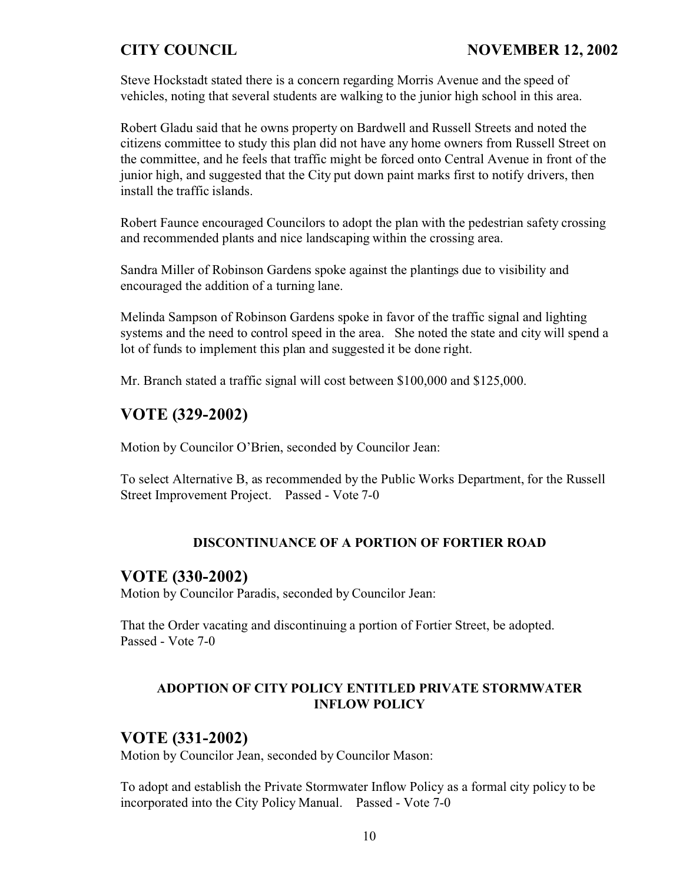Steve Hockstadt stated there is a concern regarding Morris Avenue and the speed of vehicles, noting that several students are walking to the junior high school in this area.

Robert Gladu said that he owns property on Bardwell and Russell Streets and noted the citizens committee to study this plan did not have any home owners from Russell Street on the committee, and he feels that traffic might be forced onto Central Avenue in front of the junior high, and suggested that the City put down paint marks first to notify drivers, then install the traffic islands.

Robert Faunce encouraged Councilors to adopt the plan with the pedestrian safety crossing and recommended plants and nice landscaping within the crossing area.

Sandra Miller of Robinson Gardens spoke against the plantings due to visibility and encouraged the addition of a turning lane.

Melinda Sampson of Robinson Gardens spoke in favor of the traffic signal and lighting systems and the need to control speed in the area. She noted the state and city will spend a lot of funds to implement this plan and suggested it be done right.

Mr. Branch stated a traffic signal will cost between \$100,000 and \$125,000.

# **VOTE (329-2002)**

Motion by Councilor O'Brien, seconded by Councilor Jean:

To select Alternative B, as recommended by the Public Works Department, for the Russell Street Improvement Project. Passed - Vote 7-0

## **DISCONTINUANCE OF A PORTION OF FORTIER ROAD**

## **VOTE (330-2002)**

Motion by Councilor Paradis, seconded by Councilor Jean:

That the Order vacating and discontinuing a portion of Fortier Street, be adopted. Passed - Vote 7-0

## **ADOPTION OF CITY POLICY ENTITLED PRIVATE STORMWATER INFLOW POLICY**

# **VOTE (331-2002)**

Motion by Councilor Jean, seconded by Councilor Mason:

To adopt and establish the Private Stormwater Inflow Policy as a formal city policy to be incorporated into the City Policy Manual. Passed - Vote 7-0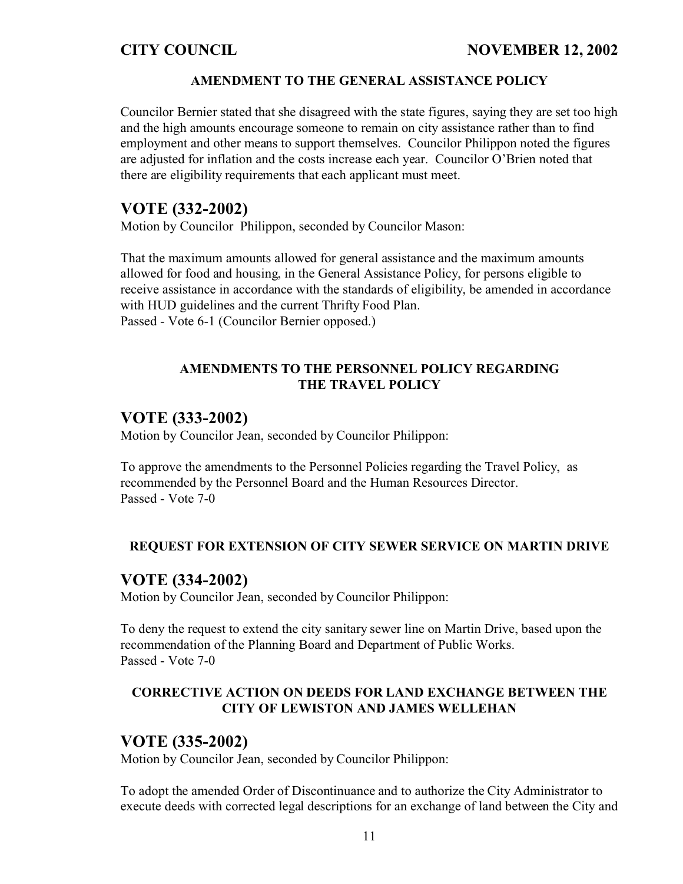### **AMENDMENT TO THE GENERAL ASSISTANCE POLICY**

Councilor Bernier stated that she disagreed with the state figures, saying they are set too high and the high amounts encourage someone to remain on city assistance rather than to find employment and other means to support themselves. Councilor Philippon noted the figures are adjusted for inflation and the costs increase each year. Councilor O'Brien noted that there are eligibility requirements that each applicant must meet.

### **VOTE (332-2002)**

Motion by Councilor Philippon, seconded by Councilor Mason:

That the maximum amounts allowed for general assistance and the maximum amounts allowed for food and housing, in the General Assistance Policy, for persons eligible to receive assistance in accordance with the standards of eligibility, be amended in accordance with HUD guidelines and the current Thrifty Food Plan. Passed - Vote 6-1 (Councilor Bernier opposed.)

### **AMENDMENTS TO THE PERSONNEL POLICY REGARDING THE TRAVEL POLICY**

## **VOTE (333-2002)**

Motion by Councilor Jean, seconded by Councilor Philippon:

To approve the amendments to the Personnel Policies regarding the Travel Policy, as recommended by the Personnel Board and the Human Resources Director. Passed - Vote 7-0

### **REQUEST FOR EXTENSION OF CITY SEWER SERVICE ON MARTIN DRIVE**

### **VOTE (334-2002)**

Motion by Councilor Jean, seconded by Councilor Philippon:

To deny the request to extend the city sanitary sewer line on Martin Drive, based upon the recommendation of the Planning Board and Department of Public Works. Passed - Vote 7-0

### **CORRECTIVE ACTION ON DEEDS FOR LAND EXCHANGE BETWEEN THE CITY OF LEWISTON AND JAMES WELLEHAN**

## **VOTE (335-2002)**

Motion by Councilor Jean, seconded by Councilor Philippon:

To adopt the amended Order of Discontinuance and to authorize the City Administrator to execute deeds with corrected legal descriptions for an exchange of land between the City and